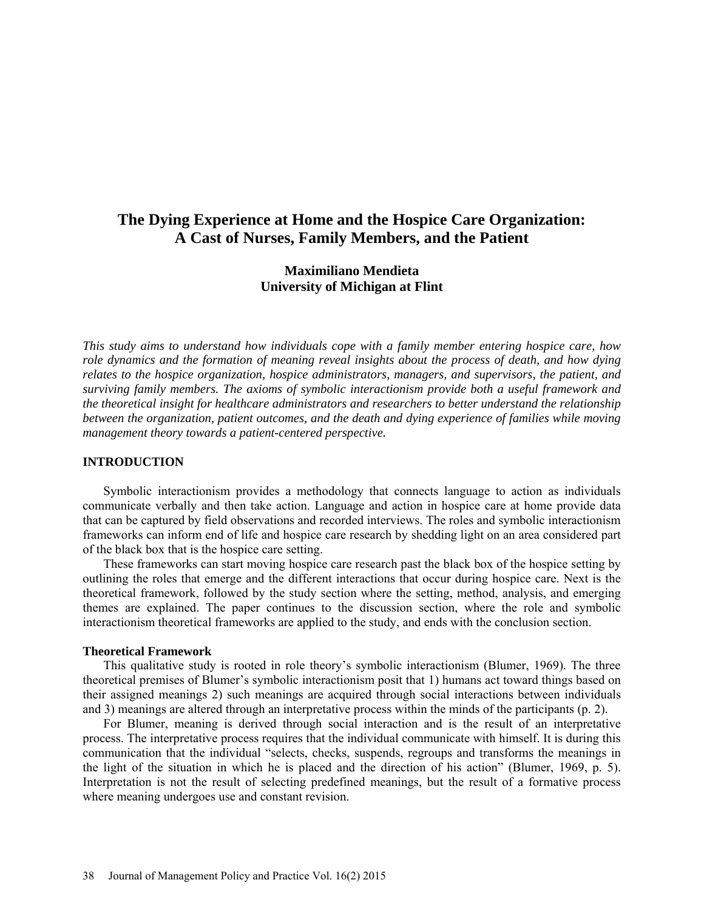# **The Dying Experience at Home and the Hospice Care Organization: A Cast of Nurses, Family Members, and the Patient**

# **Maximiliano Mendieta University of Michigan at Flint**

*This study aims to understand how individuals cope with a family member entering hospice care, how role dynamics and the formation of meaning reveal insights about the process of death, and how dying relates to the hospice organization, hospice administrators, managers, and supervisors, the patient, and surviving family members. The axioms of symbolic interactionism provide both a useful framework and the theoretical insight for healthcare administrators and researchers to better understand the relationship between the organization, patient outcomes, and the death and dying experience of families while moving management theory towards a patient-centered perspective.*

# **INTRODUCTION**

Symbolic interactionism provides a methodology that connects language to action as individuals communicate verbally and then take action. Language and action in hospice care at home provide data that can be captured by field observations and recorded interviews. The roles and symbolic interactionism frameworks can inform end of life and hospice care research by shedding light on an area considered part of the black box that is the hospice care setting.

These frameworks can start moving hospice care research past the black box of the hospice setting by outlining the roles that emerge and the different interactions that occur during hospice care. Next is the theoretical framework, followed by the study section where the setting, method, analysis, and emerging themes are explained. The paper continues to the discussion section, where the role and symbolic interactionism theoretical frameworks are applied to the study, and ends with the conclusion section.

### **Theoretical Framework**

This qualitative study is rooted in role theory's symbolic interactionism (Blumer, 1969). The three theoretical premises of Blumer's symbolic interactionism posit that 1) humans act toward things based on their assigned meanings 2) such meanings are acquired through social interactions between individuals and 3) meanings are altered through an interpretative process within the minds of the participants (p. 2).

For Blumer, meaning is derived through social interaction and is the result of an interpretative process. The interpretative process requires that the individual communicate with himself. It is during this communication that the individual "selects, checks, suspends, regroups and transforms the meanings in the light of the situation in which he is placed and the direction of his action" (Blumer, 1969, p. 5). Interpretation is not the result of selecting predefined meanings, but the result of a formative process where meaning undergoes use and constant revision.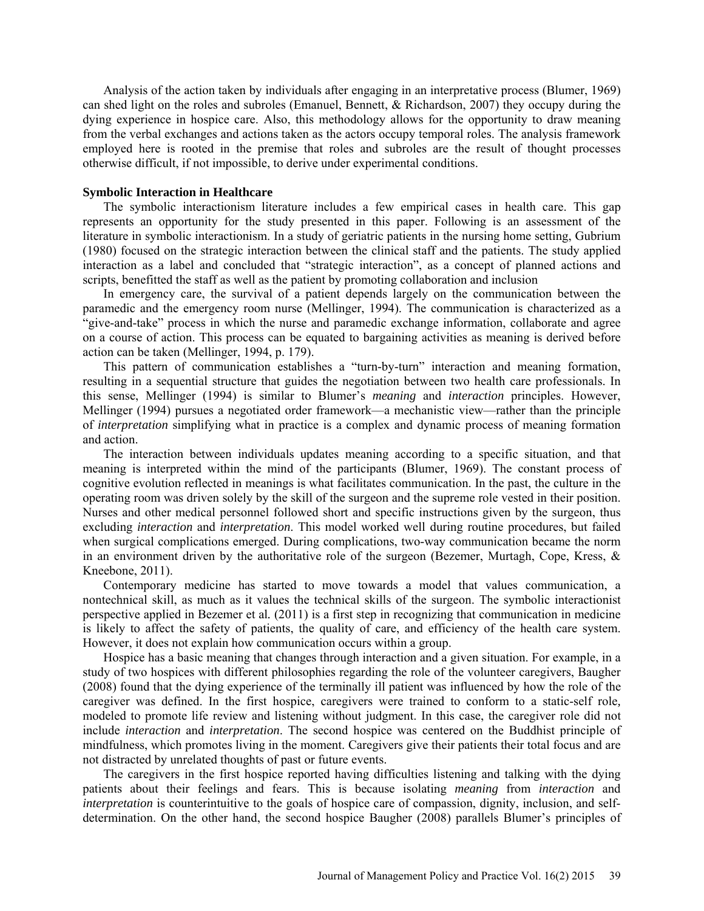Analysis of the action taken by individuals after engaging in an interpretative process (Blumer, 1969) can shed light on the roles and subroles (Emanuel, Bennett, & Richardson, 2007) they occupy during the dying experience in hospice care. Also, this methodology allows for the opportunity to draw meaning from the verbal exchanges and actions taken as the actors occupy temporal roles. The analysis framework employed here is rooted in the premise that roles and subroles are the result of thought processes otherwise difficult, if not impossible, to derive under experimental conditions.

### **Symbolic Interaction in Healthcare**

The symbolic interactionism literature includes a few empirical cases in health care. This gap represents an opportunity for the study presented in this paper. Following is an assessment of the literature in symbolic interactionism. In a study of geriatric patients in the nursing home setting, Gubrium (1980) focused on the strategic interaction between the clinical staff and the patients. The study applied interaction as a label and concluded that "strategic interaction", as a concept of planned actions and scripts, benefitted the staff as well as the patient by promoting collaboration and inclusion

In emergency care, the survival of a patient depends largely on the communication between the paramedic and the emergency room nurse (Mellinger, 1994). The communication is characterized as a "give-and-take" process in which the nurse and paramedic exchange information, collaborate and agree on a course of action. This process can be equated to bargaining activities as meaning is derived before action can be taken (Mellinger, 1994, p. 179).

This pattern of communication establishes a "turn-by-turn" interaction and meaning formation, resulting in a sequential structure that guides the negotiation between two health care professionals. In this sense, Mellinger (1994) is similar to Blumer's *meaning* and *interaction* principles. However, Mellinger (1994) pursues a negotiated order framework—a mechanistic view—rather than the principle of *interpretation* simplifying what in practice is a complex and dynamic process of meaning formation and action.

The interaction between individuals updates meaning according to a specific situation, and that meaning is interpreted within the mind of the participants (Blumer, 1969). The constant process of cognitive evolution reflected in meanings is what facilitates communication. In the past, the culture in the operating room was driven solely by the skill of the surgeon and the supreme role vested in their position. Nurses and other medical personnel followed short and specific instructions given by the surgeon, thus excluding *interaction* and *interpretation*. This model worked well during routine procedures, but failed when surgical complications emerged. During complications, two-way communication became the norm in an environment driven by the authoritative role of the surgeon (Bezemer, Murtagh, Cope, Kress,  $\&$ Kneebone, 2011).

Contemporary medicine has started to move towards a model that values communication, a nontechnical skill, as much as it values the technical skills of the surgeon. The symbolic interactionist perspective applied in Bezemer et al*.* (2011) is a first step in recognizing that communication in medicine is likely to affect the safety of patients, the quality of care, and efficiency of the health care system. However, it does not explain how communication occurs within a group.

Hospice has a basic meaning that changes through interaction and a given situation. For example, in a study of two hospices with different philosophies regarding the role of the volunteer caregivers, Baugher (2008) found that the dying experience of the terminally ill patient was influenced by how the role of the caregiver was defined. In the first hospice, caregivers were trained to conform to a static-self role*,* modeled to promote life review and listening without judgment. In this case, the caregiver role did not include *interaction* and *interpretation*. The second hospice was centered on the Buddhist principle of mindfulness, which promotes living in the moment. Caregivers give their patients their total focus and are not distracted by unrelated thoughts of past or future events.

The caregivers in the first hospice reported having difficulties listening and talking with the dying patients about their feelings and fears. This is because isolating *meaning* from *interaction* and *interpretation* is counterintuitive to the goals of hospice care of compassion, dignity, inclusion, and selfdetermination. On the other hand, the second hospice Baugher (2008) parallels Blumer's principles of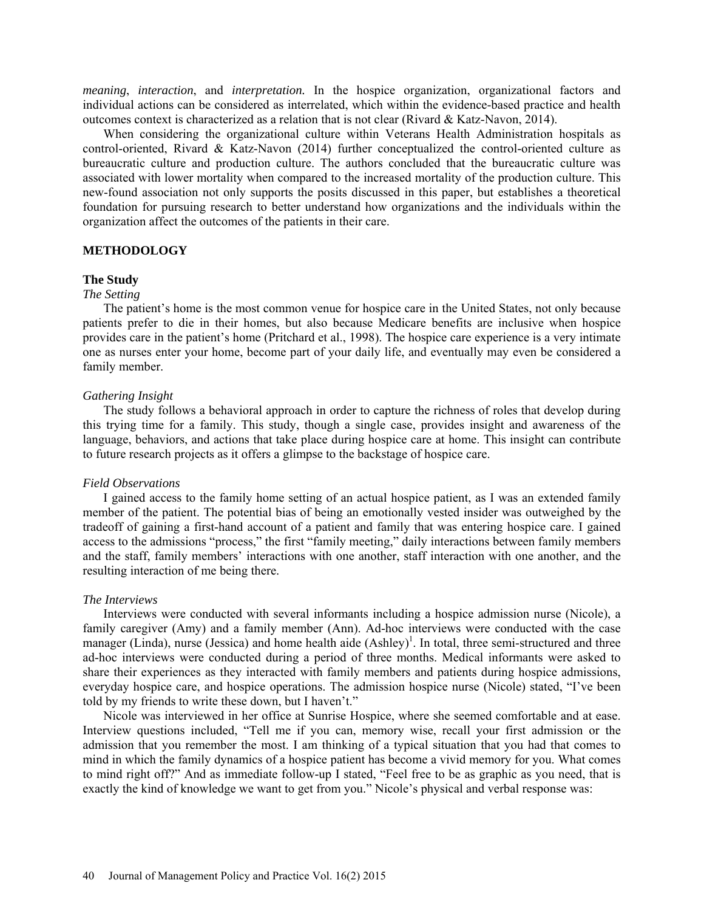*meaning*, *interaction*, and *interpretation.* In the hospice organization, organizational factors and individual actions can be considered as interrelated, which within the evidence-based practice and health outcomes context is characterized as a relation that is not clear (Rivard & Katz-Navon, 2014).

When considering the organizational culture within Veterans Health Administration hospitals as control-oriented, Rivard & Katz-Navon (2014) further conceptualized the control-oriented culture as bureaucratic culture and production culture. The authors concluded that the bureaucratic culture was associated with lower mortality when compared to the increased mortality of the production culture. This new-found association not only supports the posits discussed in this paper, but establishes a theoretical foundation for pursuing research to better understand how organizations and the individuals within the organization affect the outcomes of the patients in their care.

## **METHODOLOGY**

### **The Study**

### *The Setting*

The patient's home is the most common venue for hospice care in the United States, not only because patients prefer to die in their homes, but also because Medicare benefits are inclusive when hospice provides care in the patient's home (Pritchard et al., 1998). The hospice care experience is a very intimate one as nurses enter your home, become part of your daily life, and eventually may even be considered a family member.

### *Gathering Insight*

The study follows a behavioral approach in order to capture the richness of roles that develop during this trying time for a family. This study, though a single case, provides insight and awareness of the language, behaviors, and actions that take place during hospice care at home. This insight can contribute to future research projects as it offers a glimpse to the backstage of hospice care.

### *Field Observations*

I gained access to the family home setting of an actual hospice patient, as I was an extended family member of the patient. The potential bias of being an emotionally vested insider was outweighed by the tradeoff of gaining a first-hand account of a patient and family that was entering hospice care. I gained access to the admissions "process," the first "family meeting," daily interactions between family members and the staff, family members' interactions with one another, staff interaction with one another, and the resulting interaction of me being there.

### *The Interviews*

Interviews were conducted with several informants including a hospice admission nurse (Nicole), a family caregiver (Amy) and a family member (Ann). Ad-hoc interviews were conducted with the case manager (Linda), nurse (Jessica) and home health aide  $(Ashley)^{1}$ . In total, three semi-structured and three ad-hoc interviews were conducted during a period of three months. Medical informants were asked to share their experiences as they interacted with family members and patients during hospice admissions, everyday hospice care, and hospice operations. The admission hospice nurse (Nicole) stated, "I've been told by my friends to write these down, but I haven't."

Nicole was interviewed in her office at Sunrise Hospice, where she seemed comfortable and at ease. Interview questions included, "Tell me if you can, memory wise, recall your first admission or the admission that you remember the most. I am thinking of a typical situation that you had that comes to mind in which the family dynamics of a hospice patient has become a vivid memory for you. What comes to mind right off?" And as immediate follow-up I stated, "Feel free to be as graphic as you need, that is exactly the kind of knowledge we want to get from you." Nicole's physical and verbal response was: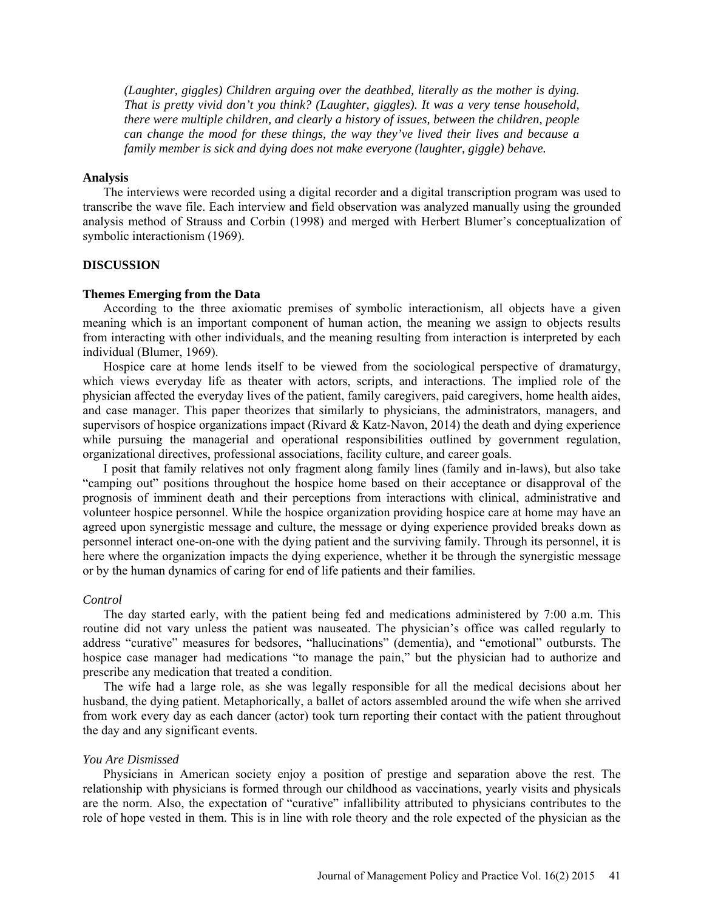*(Laughter, giggles) Children arguing over the deathbed, literally as the mother is dying. That is pretty vivid don't you think? (Laughter, giggles). It was a very tense household, there were multiple children, and clearly a history of issues, between the children, people can change the mood for these things, the way they've lived their lives and because a family member is sick and dying does not make everyone (laughter, giggle) behave.*

# **Analysis**

The interviews were recorded using a digital recorder and a digital transcription program was used to transcribe the wave file. Each interview and field observation was analyzed manually using the grounded analysis method of Strauss and Corbin (1998) and merged with Herbert Blumer's conceptualization of symbolic interactionism (1969).

# **DISCUSSION**

#### **Themes Emerging from the Data**

According to the three axiomatic premises of symbolic interactionism, all objects have a given meaning which is an important component of human action, the meaning we assign to objects results from interacting with other individuals, and the meaning resulting from interaction is interpreted by each individual (Blumer, 1969).

Hospice care at home lends itself to be viewed from the sociological perspective of dramaturgy, which views everyday life as theater with actors, scripts, and interactions. The implied role of the physician affected the everyday lives of the patient, family caregivers, paid caregivers, home health aides, and case manager. This paper theorizes that similarly to physicians, the administrators, managers, and supervisors of hospice organizations impact (Rivard & Katz-Navon, 2014) the death and dying experience while pursuing the managerial and operational responsibilities outlined by government regulation, organizational directives, professional associations, facility culture, and career goals.

I posit that family relatives not only fragment along family lines (family and in-laws), but also take "camping out" positions throughout the hospice home based on their acceptance or disapproval of the prognosis of imminent death and their perceptions from interactions with clinical, administrative and volunteer hospice personnel. While the hospice organization providing hospice care at home may have an agreed upon synergistic message and culture, the message or dying experience provided breaks down as personnel interact one-on-one with the dying patient and the surviving family. Through its personnel, it is here where the organization impacts the dying experience, whether it be through the synergistic message or by the human dynamics of caring for end of life patients and their families.

### *Control*

The day started early, with the patient being fed and medications administered by 7:00 a.m. This routine did not vary unless the patient was nauseated. The physician's office was called regularly to address "curative" measures for bedsores, "hallucinations" (dementia), and "emotional" outbursts. The hospice case manager had medications "to manage the pain," but the physician had to authorize and prescribe any medication that treated a condition.

The wife had a large role, as she was legally responsible for all the medical decisions about her husband, the dying patient. Metaphorically, a ballet of actors assembled around the wife when she arrived from work every day as each dancer (actor) took turn reporting their contact with the patient throughout the day and any significant events.

### *You Are Dismissed*

Physicians in American society enjoy a position of prestige and separation above the rest. The relationship with physicians is formed through our childhood as vaccinations, yearly visits and physicals are the norm. Also, the expectation of "curative" infallibility attributed to physicians contributes to the role of hope vested in them. This is in line with role theory and the role expected of the physician as the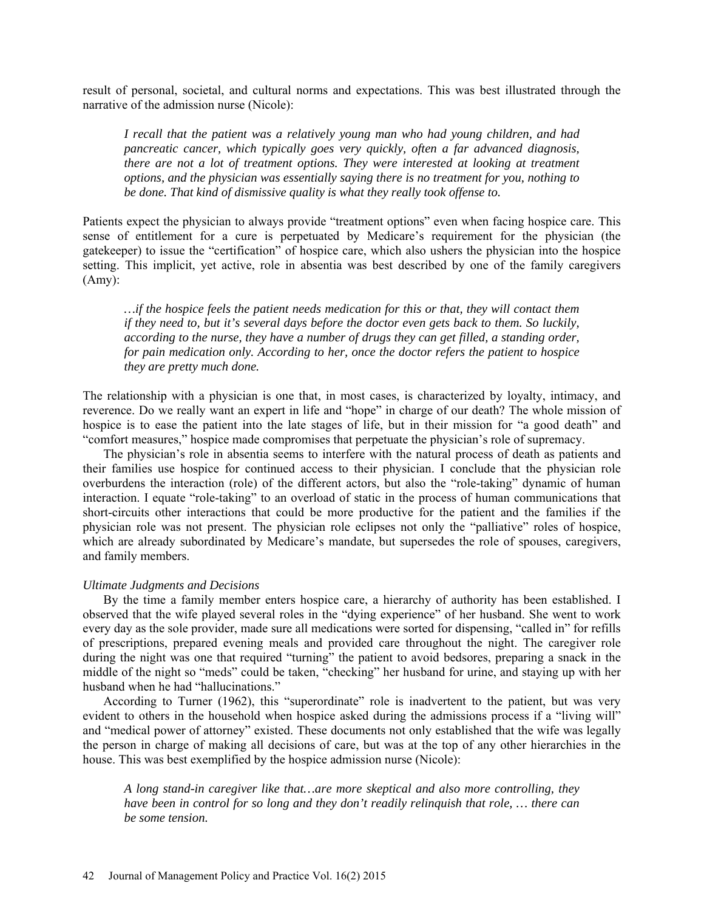result of personal, societal, and cultural norms and expectations. This was best illustrated through the narrative of the admission nurse (Nicole):

*I recall that the patient was a relatively young man who had young children, and had pancreatic cancer, which typically goes very quickly, often a far advanced diagnosis, there are not a lot of treatment options. They were interested at looking at treatment options, and the physician was essentially saying there is no treatment for you, nothing to be done. That kind of dismissive quality is what they really took offense to.*

Patients expect the physician to always provide "treatment options" even when facing hospice care. This sense of entitlement for a cure is perpetuated by Medicare's requirement for the physician (the gatekeeper) to issue the "certification" of hospice care, which also ushers the physician into the hospice setting. This implicit, yet active, role in absentia was best described by one of the family caregivers (Amy):

*…if the hospice feels the patient needs medication for this or that, they will contact them if they need to, but it's several days before the doctor even gets back to them. So luckily, according to the nurse, they have a number of drugs they can get filled, a standing order, for pain medication only. According to her, once the doctor refers the patient to hospice they are pretty much done.*

The relationship with a physician is one that, in most cases, is characterized by loyalty, intimacy, and reverence. Do we really want an expert in life and "hope" in charge of our death? The whole mission of hospice is to ease the patient into the late stages of life, but in their mission for "a good death" and "comfort measures," hospice made compromises that perpetuate the physician's role of supremacy.

The physician's role in absentia seems to interfere with the natural process of death as patients and their families use hospice for continued access to their physician. I conclude that the physician role overburdens the interaction (role) of the different actors, but also the "role-taking" dynamic of human interaction. I equate "role-taking" to an overload of static in the process of human communications that short-circuits other interactions that could be more productive for the patient and the families if the physician role was not present. The physician role eclipses not only the "palliative" roles of hospice, which are already subordinated by Medicare's mandate, but supersedes the role of spouses, caregivers, and family members.

### *Ultimate Judgments and Decisions*

By the time a family member enters hospice care, a hierarchy of authority has been established. I observed that the wife played several roles in the "dying experience" of her husband. She went to work every day as the sole provider, made sure all medications were sorted for dispensing, "called in" for refills of prescriptions, prepared evening meals and provided care throughout the night. The caregiver role during the night was one that required "turning" the patient to avoid bedsores, preparing a snack in the middle of the night so "meds" could be taken, "checking" her husband for urine, and staying up with her husband when he had "hallucinations."

According to Turner (1962), this "superordinate" role is inadvertent to the patient, but was very evident to others in the household when hospice asked during the admissions process if a "living will" and "medical power of attorney" existed. These documents not only established that the wife was legally the person in charge of making all decisions of care, but was at the top of any other hierarchies in the house. This was best exemplified by the hospice admission nurse (Nicole):

*A long stand-in caregiver like that…are more skeptical and also more controlling, they have been in control for so long and they don't readily relinquish that role, … there can be some tension.*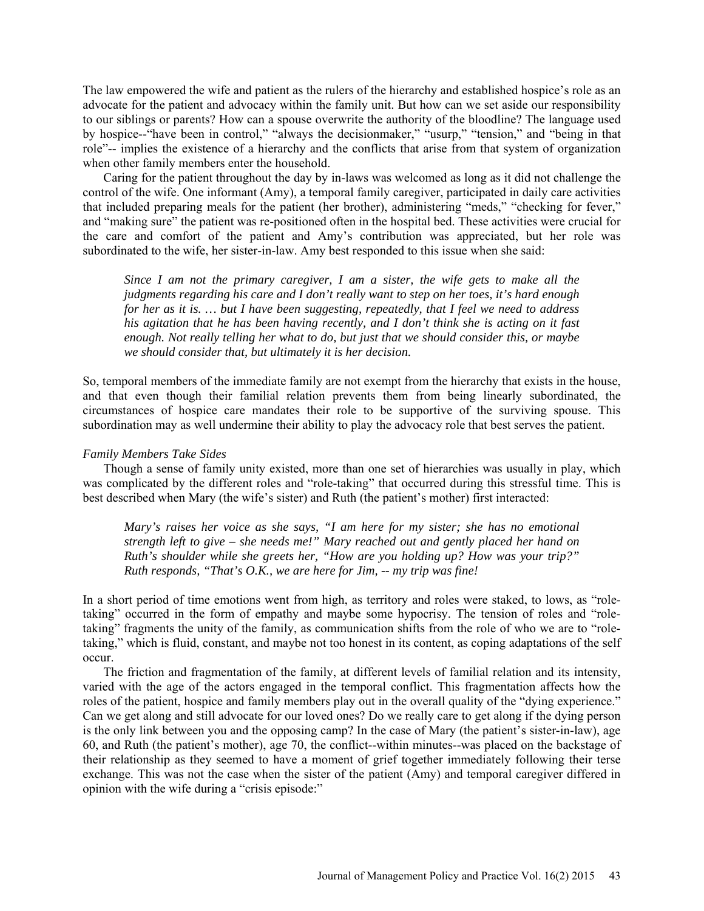The law empowered the wife and patient as the rulers of the hierarchy and established hospice's role as an advocate for the patient and advocacy within the family unit. But how can we set aside our responsibility to our siblings or parents? How can a spouse overwrite the authority of the bloodline? The language used by hospice--"have been in control," "always the decisionmaker," "usurp," "tension," and "being in that role"-- implies the existence of a hierarchy and the conflicts that arise from that system of organization when other family members enter the household.

Caring for the patient throughout the day by in-laws was welcomed as long as it did not challenge the control of the wife. One informant (Amy), a temporal family caregiver, participated in daily care activities that included preparing meals for the patient (her brother), administering "meds," "checking for fever," and "making sure" the patient was re-positioned often in the hospital bed. These activities were crucial for the care and comfort of the patient and Amy's contribution was appreciated, but her role was subordinated to the wife, her sister-in-law. Amy best responded to this issue when she said:

*Since I am not the primary caregiver, I am a sister, the wife gets to make all the judgments regarding his care and I don't really want to step on her toes, it's hard enough for her as it is. … but I have been suggesting, repeatedly, that I feel we need to address his agitation that he has been having recently, and I don't think she is acting on it fast enough. Not really telling her what to do, but just that we should consider this, or maybe we should consider that, but ultimately it is her decision.*

So, temporal members of the immediate family are not exempt from the hierarchy that exists in the house, and that even though their familial relation prevents them from being linearly subordinated, the circumstances of hospice care mandates their role to be supportive of the surviving spouse. This subordination may as well undermine their ability to play the advocacy role that best serves the patient.

### *Family Members Take Sides*

Though a sense of family unity existed, more than one set of hierarchies was usually in play, which was complicated by the different roles and "role-taking" that occurred during this stressful time. This is best described when Mary (the wife's sister) and Ruth (the patient's mother) first interacted:

*Mary's raises her voice as she says, "I am here for my sister; she has no emotional strength left to give – she needs me!" Mary reached out and gently placed her hand on Ruth's shoulder while she greets her, "How are you holding up? How was your trip?" Ruth responds, "That's O.K., we are here for Jim, -- my trip was fine!*

In a short period of time emotions went from high, as territory and roles were staked, to lows, as "roletaking" occurred in the form of empathy and maybe some hypocrisy. The tension of roles and "roletaking" fragments the unity of the family, as communication shifts from the role of who we are to "roletaking," which is fluid, constant, and maybe not too honest in its content, as coping adaptations of the self occur.

The friction and fragmentation of the family, at different levels of familial relation and its intensity, varied with the age of the actors engaged in the temporal conflict. This fragmentation affects how the roles of the patient, hospice and family members play out in the overall quality of the "dying experience." Can we get along and still advocate for our loved ones? Do we really care to get along if the dying person is the only link between you and the opposing camp? In the case of Mary (the patient's sister-in-law), age 60, and Ruth (the patient's mother), age 70, the conflict--within minutes--was placed on the backstage of their relationship as they seemed to have a moment of grief together immediately following their terse exchange. This was not the case when the sister of the patient (Amy) and temporal caregiver differed in opinion with the wife during a "crisis episode:"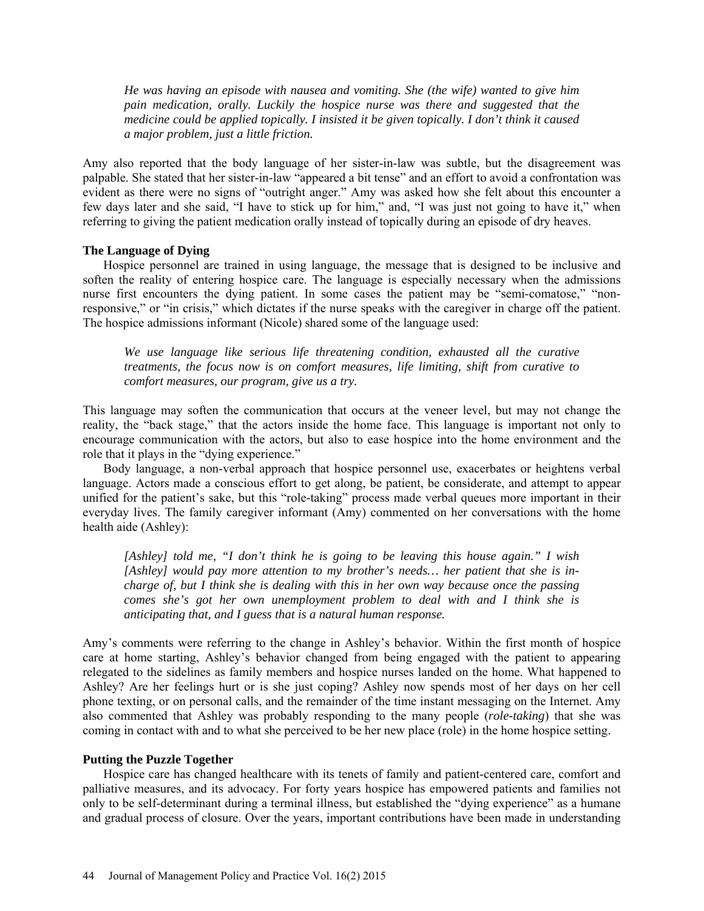*He was having an episode with nausea and vomiting. She (the wife) wanted to give him pain medication, orally. Luckily the hospice nurse was there and suggested that the medicine could be applied topically. I insisted it be given topically. I don't think it caused a major problem, just a little friction.*

Amy also reported that the body language of her sister-in-law was subtle, but the disagreement was palpable. She stated that her sister-in-law "appeared a bit tense" and an effort to avoid a confrontation was evident as there were no signs of "outright anger." Amy was asked how she felt about this encounter a few days later and she said, "I have to stick up for him," and, "I was just not going to have it," when referring to giving the patient medication orally instead of topically during an episode of dry heaves.

# **The Language of Dying**

Hospice personnel are trained in using language, the message that is designed to be inclusive and soften the reality of entering hospice care. The language is especially necessary when the admissions nurse first encounters the dying patient. In some cases the patient may be "semi-comatose," "nonresponsive," or "in crisis," which dictates if the nurse speaks with the caregiver in charge off the patient. The hospice admissions informant (Nicole) shared some of the language used:

*We use language like serious life threatening condition, exhausted all the curative treatments, the focus now is on comfort measures, life limiting, shift from curative to comfort measures, our program, give us a try.*

This language may soften the communication that occurs at the veneer level, but may not change the reality, the "back stage," that the actors inside the home face. This language is important not only to encourage communication with the actors, but also to ease hospice into the home environment and the role that it plays in the "dying experience."

Body language, a non-verbal approach that hospice personnel use, exacerbates or heightens verbal language. Actors made a conscious effort to get along, be patient, be considerate, and attempt to appear unified for the patient's sake, but this "role-taking" process made verbal queues more important in their everyday lives. The family caregiver informant (Amy) commented on her conversations with the home health aide (Ashley):

*[Ashley] told me, "I don't think he is going to be leaving this house again." I wish [Ashley] would pay more attention to my brother's needs… her patient that she is incharge of, but I think she is dealing with this in her own way because once the passing comes she's got her own unemployment problem to deal with and I think she is anticipating that, and I guess that is a natural human response.*

Amy's comments were referring to the change in Ashley's behavior. Within the first month of hospice care at home starting, Ashley's behavior changed from being engaged with the patient to appearing relegated to the sidelines as family members and hospice nurses landed on the home. What happened to Ashley? Are her feelings hurt or is she just coping? Ashley now spends most of her days on her cell phone texting, or on personal calls, and the remainder of the time instant messaging on the Internet. Amy also commented that Ashley was probably responding to the many people (*role-taking*) that she was coming in contact with and to what she perceived to be her new place (role) in the home hospice setting.

# **Putting the Puzzle Together**

Hospice care has changed healthcare with its tenets of family and patient-centered care, comfort and palliative measures, and its advocacy. For forty years hospice has empowered patients and families not only to be self-determinant during a terminal illness, but established the "dying experience" as a humane and gradual process of closure. Over the years, important contributions have been made in understanding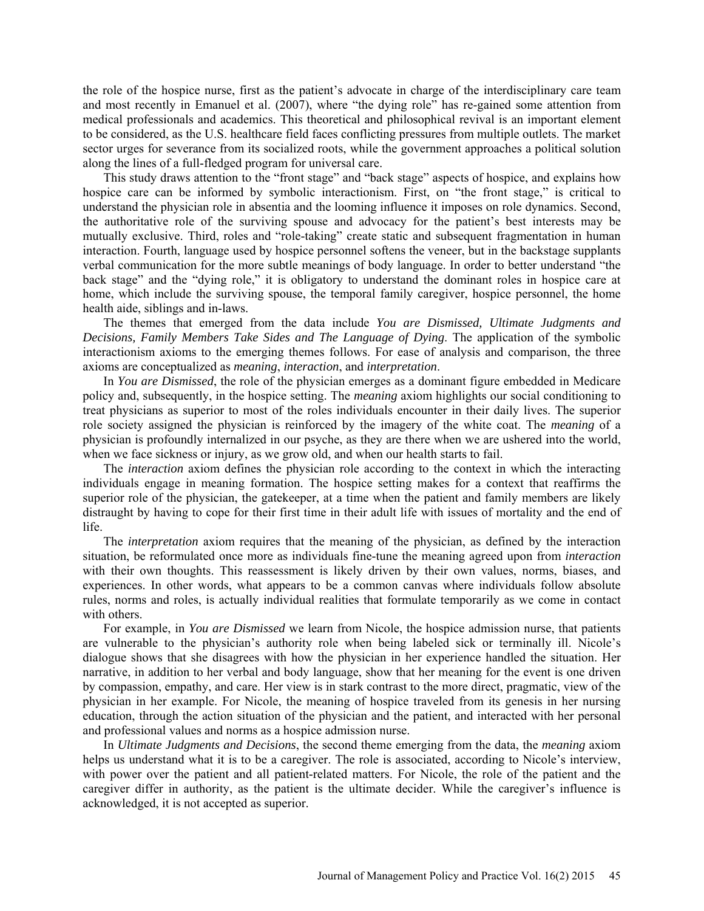the role of the hospice nurse, first as the patient's advocate in charge of the interdisciplinary care team and most recently in Emanuel et al. (2007), where "the dying role" has re-gained some attention from medical professionals and academics. This theoretical and philosophical revival is an important element to be considered, as the U.S. healthcare field faces conflicting pressures from multiple outlets. The market sector urges for severance from its socialized roots, while the government approaches a political solution along the lines of a full-fledged program for universal care.

This study draws attention to the "front stage" and "back stage" aspects of hospice, and explains how hospice care can be informed by symbolic interactionism. First, on "the front stage," is critical to understand the physician role in absentia and the looming influence it imposes on role dynamics. Second, the authoritative role of the surviving spouse and advocacy for the patient's best interests may be mutually exclusive. Third, roles and "role-taking" create static and subsequent fragmentation in human interaction. Fourth, language used by hospice personnel softens the veneer, but in the backstage supplants verbal communication for the more subtle meanings of body language. In order to better understand "the back stage" and the "dying role," it is obligatory to understand the dominant roles in hospice care at home, which include the surviving spouse, the temporal family caregiver, hospice personnel, the home health aide, siblings and in-laws.

The themes that emerged from the data include *You are Dismissed, Ultimate Judgments and Decisions, Family Members Take Sides and The Language of Dying*. The application of the symbolic interactionism axioms to the emerging themes follows. For ease of analysis and comparison, the three axioms are conceptualized as *meaning*, *interaction*, and *interpretation*.

In *You are Dismissed*, the role of the physician emerges as a dominant figure embedded in Medicare policy and, subsequently, in the hospice setting. The *meaning* axiom highlights our social conditioning to treat physicians as superior to most of the roles individuals encounter in their daily lives. The superior role society assigned the physician is reinforced by the imagery of the white coat. The *meaning* of a physician is profoundly internalized in our psyche, as they are there when we are ushered into the world, when we face sickness or injury, as we grow old, and when our health starts to fail.

The *interaction* axiom defines the physician role according to the context in which the interacting individuals engage in meaning formation. The hospice setting makes for a context that reaffirms the superior role of the physician, the gatekeeper, at a time when the patient and family members are likely distraught by having to cope for their first time in their adult life with issues of mortality and the end of life.

The *interpretation* axiom requires that the meaning of the physician, as defined by the interaction situation, be reformulated once more as individuals fine-tune the meaning agreed upon from *interaction* with their own thoughts. This reassessment is likely driven by their own values, norms, biases, and experiences. In other words, what appears to be a common canvas where individuals follow absolute rules, norms and roles, is actually individual realities that formulate temporarily as we come in contact with others.

For example, in *You are Dismissed* we learn from Nicole, the hospice admission nurse, that patients are vulnerable to the physician's authority role when being labeled sick or terminally ill. Nicole's dialogue shows that she disagrees with how the physician in her experience handled the situation. Her narrative, in addition to her verbal and body language, show that her meaning for the event is one driven by compassion, empathy, and care. Her view is in stark contrast to the more direct, pragmatic, view of the physician in her example. For Nicole, the meaning of hospice traveled from its genesis in her nursing education, through the action situation of the physician and the patient, and interacted with her personal and professional values and norms as a hospice admission nurse.

In *Ultimate Judgments and Decisions*, the second theme emerging from the data, the *meaning* axiom helps us understand what it is to be a caregiver. The role is associated, according to Nicole's interview, with power over the patient and all patient-related matters. For Nicole, the role of the patient and the caregiver differ in authority, as the patient is the ultimate decider. While the caregiver's influence is acknowledged, it is not accepted as superior.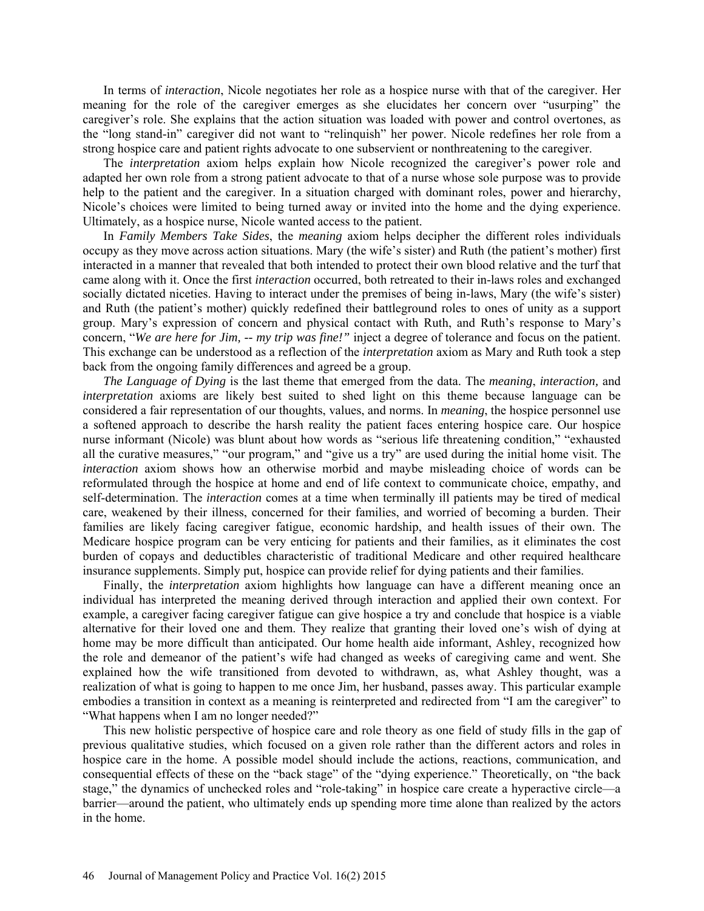In terms of *interaction*, Nicole negotiates her role as a hospice nurse with that of the caregiver. Her meaning for the role of the caregiver emerges as she elucidates her concern over "usurping" the caregiver's role. She explains that the action situation was loaded with power and control overtones, as the "long stand-in" caregiver did not want to "relinquish" her power. Nicole redefines her role from a strong hospice care and patient rights advocate to one subservient or nonthreatening to the caregiver.

The *interpretation* axiom helps explain how Nicole recognized the caregiver's power role and adapted her own role from a strong patient advocate to that of a nurse whose sole purpose was to provide help to the patient and the caregiver. In a situation charged with dominant roles, power and hierarchy, Nicole's choices were limited to being turned away or invited into the home and the dying experience. Ultimately, as a hospice nurse, Nicole wanted access to the patient.

In *Family Members Take Sides*, the *meaning* axiom helps decipher the different roles individuals occupy as they move across action situations. Mary (the wife's sister) and Ruth (the patient's mother) first interacted in a manner that revealed that both intended to protect their own blood relative and the turf that came along with it. Once the first *interaction* occurred, both retreated to their in-laws roles and exchanged socially dictated niceties. Having to interact under the premises of being in-laws, Mary (the wife's sister) and Ruth (the patient's mother) quickly redefined their battleground roles to ones of unity as a support group. Mary's expression of concern and physical contact with Ruth, and Ruth's response to Mary's concern, "*We are here for Jim, -- my trip was fine!"* inject a degree of tolerance and focus on the patient. This exchange can be understood as a reflection of the *interpretation* axiom as Mary and Ruth took a step back from the ongoing family differences and agreed be a group.

*The Language of Dying* is the last theme that emerged from the data. The *meaning*, *interaction,* and *interpretation* axioms are likely best suited to shed light on this theme because language can be considered a fair representation of our thoughts, values, and norms. In *meaning*, the hospice personnel use a softened approach to describe the harsh reality the patient faces entering hospice care. Our hospice nurse informant (Nicole) was blunt about how words as "serious life threatening condition," "exhausted all the curative measures," "our program," and "give us a try" are used during the initial home visit. The *interaction* axiom shows how an otherwise morbid and maybe misleading choice of words can be reformulated through the hospice at home and end of life context to communicate choice, empathy, and self-determination. The *interaction* comes at a time when terminally ill patients may be tired of medical care, weakened by their illness, concerned for their families, and worried of becoming a burden. Their families are likely facing caregiver fatigue, economic hardship, and health issues of their own. The Medicare hospice program can be very enticing for patients and their families, as it eliminates the cost burden of copays and deductibles characteristic of traditional Medicare and other required healthcare insurance supplements. Simply put, hospice can provide relief for dying patients and their families.

Finally, the *interpretation* axiom highlights how language can have a different meaning once an individual has interpreted the meaning derived through interaction and applied their own context. For example, a caregiver facing caregiver fatigue can give hospice a try and conclude that hospice is a viable alternative for their loved one and them. They realize that granting their loved one's wish of dying at home may be more difficult than anticipated. Our home health aide informant, Ashley, recognized how the role and demeanor of the patient's wife had changed as weeks of caregiving came and went. She explained how the wife transitioned from devoted to withdrawn, as, what Ashley thought, was a realization of what is going to happen to me once Jim, her husband, passes away. This particular example embodies a transition in context as a meaning is reinterpreted and redirected from "I am the caregiver" to "What happens when I am no longer needed?"

This new holistic perspective of hospice care and role theory as one field of study fills in the gap of previous qualitative studies, which focused on a given role rather than the different actors and roles in hospice care in the home. A possible model should include the actions, reactions, communication, and consequential effects of these on the "back stage" of the "dying experience." Theoretically, on "the back stage," the dynamics of unchecked roles and "role-taking" in hospice care create a hyperactive circle—a barrier—around the patient, who ultimately ends up spending more time alone than realized by the actors in the home.